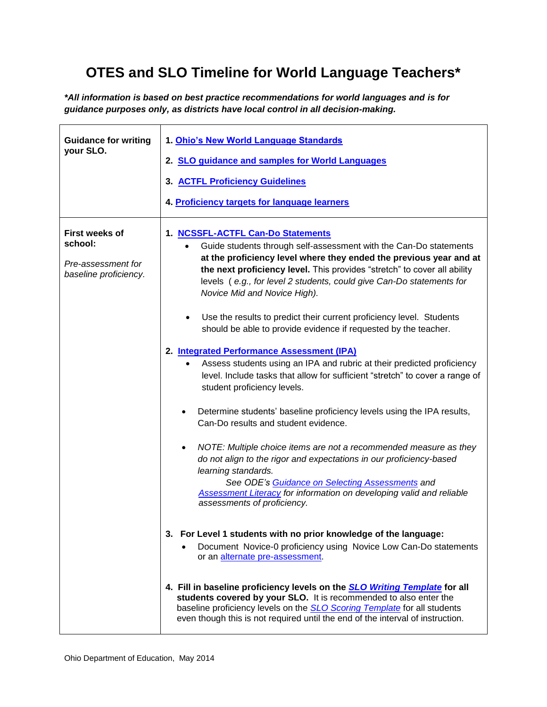## **OTES and SLO Timeline for World Language Teachers\***

*\*All information is based on best practice recommendations for world languages and is for guidance purposes only, as districts have local control in all decision-making.*

| <b>Guidance for writing</b><br>your SLO.                                        | 1. Ohio's New World Language Standards<br>2. SLO guidance and samples for World Languages<br>3. ACTFL Proficiency Guidelines<br>4. Proficiency targets for language learners                                                                                                                                                                                                                                                                                                                                                                                                                                                                                                                                                                                                                                                                                                                                                                                                                                                                                                                                                                                                                                                                                                                   |
|---------------------------------------------------------------------------------|------------------------------------------------------------------------------------------------------------------------------------------------------------------------------------------------------------------------------------------------------------------------------------------------------------------------------------------------------------------------------------------------------------------------------------------------------------------------------------------------------------------------------------------------------------------------------------------------------------------------------------------------------------------------------------------------------------------------------------------------------------------------------------------------------------------------------------------------------------------------------------------------------------------------------------------------------------------------------------------------------------------------------------------------------------------------------------------------------------------------------------------------------------------------------------------------------------------------------------------------------------------------------------------------|
| <b>First weeks of</b><br>school:<br>Pre-assessment for<br>baseline proficiency. | 1. NCSSFL-ACTFL Can-Do Statements<br>Guide students through self-assessment with the Can-Do statements<br>at the proficiency level where they ended the previous year and at<br>the next proficiency level. This provides "stretch" to cover all ability<br>levels (e.g., for level 2 students, could give Can-Do statements for<br>Novice Mid and Novice High).<br>Use the results to predict their current proficiency level. Students<br>$\bullet$<br>should be able to provide evidence if requested by the teacher.<br>2. Integrated Performance Assessment (IPA)<br>Assess students using an IPA and rubric at their predicted proficiency<br>level. Include tasks that allow for sufficient "stretch" to cover a range of<br>student proficiency levels.<br>Determine students' baseline proficiency levels using the IPA results,<br>٠<br>Can-Do results and student evidence.<br>NOTE: Multiple choice items are not a recommended measure as they<br>do not align to the rigor and expectations in our proficiency-based<br>learning standards.<br>See ODE's Guidance on Selecting Assessments and<br><b>Assessment Literacy for information on developing valid and reliable</b><br>assessments of proficiency.<br>3. For Level 1 students with no prior knowledge of the language: |
|                                                                                 | Document Novice-0 proficiency using Novice Low Can-Do statements<br>or an alternate pre-assessment.<br>4. Fill in baseline proficiency levels on the <b>SLO Writing Template</b> for all<br>students covered by your SLO. It is recommended to also enter the<br>baseline proficiency levels on the <b>SLO Scoring Template</b> for all students<br>even though this is not required until the end of the interval of instruction.                                                                                                                                                                                                                                                                                                                                                                                                                                                                                                                                                                                                                                                                                                                                                                                                                                                             |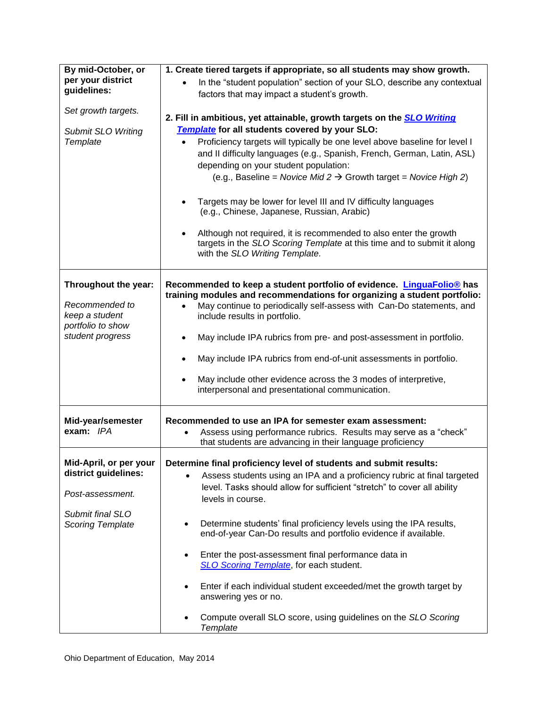| By mid-October, or<br>per your district<br>guidelines:<br>Set growth targets.<br><b>Submit SLO Writing</b><br>Template | 1. Create tiered targets if appropriate, so all students may show growth.<br>In the "student population" section of your SLO, describe any contextual<br>factors that may impact a student's growth.<br>2. Fill in ambitious, yet attainable, growth targets on the <b>SLO Writing</b><br>Template for all students covered by your SLO:<br>Proficiency targets will typically be one level above baseline for level I<br>and II difficulty languages (e.g., Spanish, French, German, Latin, ASL)<br>depending on your student population:<br>(e.g., Baseline = Novice Mid 2 $\rightarrow$ Growth target = Novice High 2)<br>Targets may be lower for level III and IV difficulty languages<br>(e.g., Chinese, Japanese, Russian, Arabic)<br>Although not required, it is recommended to also enter the growth |
|------------------------------------------------------------------------------------------------------------------------|----------------------------------------------------------------------------------------------------------------------------------------------------------------------------------------------------------------------------------------------------------------------------------------------------------------------------------------------------------------------------------------------------------------------------------------------------------------------------------------------------------------------------------------------------------------------------------------------------------------------------------------------------------------------------------------------------------------------------------------------------------------------------------------------------------------|
|                                                                                                                        | targets in the SLO Scoring Template at this time and to submit it along<br>with the SLO Writing Template.                                                                                                                                                                                                                                                                                                                                                                                                                                                                                                                                                                                                                                                                                                      |
| Throughout the year:<br>Recommended to<br>keep a student<br>portfolio to show<br>student progress                      | Recommended to keep a student portfolio of evidence. LinguaFolio® has<br>training modules and recommendations for organizing a student portfolio:<br>May continue to periodically self-assess with Can-Do statements, and<br>include results in portfolio.<br>May include IPA rubrics from pre- and post-assessment in portfolio.<br>May include IPA rubrics from end-of-unit assessments in portfolio.<br>May include other evidence across the 3 modes of interpretive,<br>interpersonal and presentational communication.                                                                                                                                                                                                                                                                                   |
| Mid-year/semester<br>exam: IPA                                                                                         | Recommended to use an IPA for semester exam assessment:<br>Assess using performance rubrics. Results may serve as a "check"<br>that students are advancing in their language proficiency                                                                                                                                                                                                                                                                                                                                                                                                                                                                                                                                                                                                                       |
| Mid-April, or per your<br>district guidelines:<br>Post-assessment.<br>Submit final SLO                                 | Determine final proficiency level of students and submit results:<br>Assess students using an IPA and a proficiency rubric at final targeted<br>$\bullet$<br>level. Tasks should allow for sufficient "stretch" to cover all ability<br>levels in course.                                                                                                                                                                                                                                                                                                                                                                                                                                                                                                                                                      |
| Scoring Template                                                                                                       | Determine students' final proficiency levels using the IPA results,<br>end-of-year Can-Do results and portfolio evidence if available.<br>Enter the post-assessment final performance data in<br>$\bullet$<br>SLO Scoring Template, for each student.<br>Enter if each individual student exceeded/met the growth target by<br>$\bullet$<br>answering yes or no.<br>Compute overall SLO score, using guidelines on the SLO Scoring<br>$\bullet$                                                                                                                                                                                                                                                                                                                                                                |